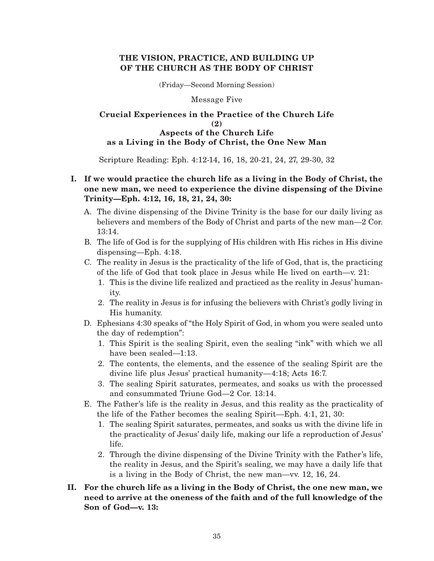## **THE VISION, PRACTICE, AND BUILDING UP OF THE CHURCH AS THE BODY OF CHRIST**

(Friday—Second Morning Session)

Message Five

### **Crucial Experiences in the Practice of the Church Life (2) Aspects of the Church Life as a Living in the Body of Christ, the One New Man**

Scripture Reading: Eph. 4:12-14, 16, 18, 20-21, 24, 27, 29-30, 32

# **I. If we would practice the church life as a living in the Body of Christ, the one new man, we need to experience the divine dispensing of the Divine Trinity—Eph. 4:12, 16, 18, 21, 24, 30:**

- A. The divine dispensing of the Divine Trinity is the base for our daily living as believers and members of the Body of Christ and parts of the new man—2 Cor. 13:14.
- B. The life of God is for the supplying of His children with His riches in His divine dispensing—Eph. 4:18.
- C. The reality in Jesus is the practicality of the life of God, that is, the practicing of the life of God that took place in Jesus while He lived on earth—v. 21:
	- 1. This is the divine life realized and practiced as the reality in Jesus' humanity.
	- 2. The reality in Jesus is for infusing the believers with Christ's godly living in His humanity.
- D. Ephesians 4:30 speaks of "the Holy Spirit of God, in whom you were sealed unto the day of redemption":
	- 1. This Spirit is the sealing Spirit, even the sealing "ink" with which we all have been sealed—1:13.
	- 2. The contents, the elements, and the essence of the sealing Spirit are the divine life plus Jesus' practical humanity—4:18; Acts 16:7.
	- 3. The sealing Spirit saturates, permeates, and soaks us with the processed and consummated Triune God—2 Cor. 13:14.
- E. The Father's life is the reality in Jesus, and this reality as the practicality of the life of the Father becomes the sealing Spirit—Eph. 4:1, 21, 30:
	- 1. The sealing Spirit saturates, permeates, and soaks us with the divine life in the practicality of Jesus' daily life, making our life a reproduction of Jesus' life.
	- 2. Through the divine dispensing of the Divine Trinity with the Father's life, the reality in Jesus, and the Spirit's sealing, we may have a daily life that is a living in the Body of Christ, the new man—vv. 12, 16, 24.
- **II. For the church life as a living in the Body of Christ, the one new man, we need to arrive at the oneness of the faith and of the full knowledge of the Son of God—v. 13:**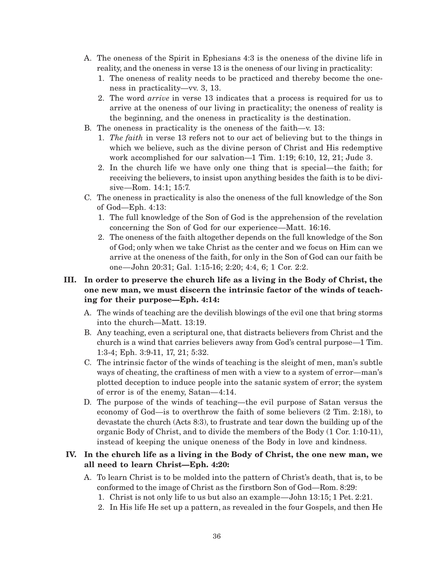- A. The oneness of the Spirit in Ephesians 4:3 is the oneness of the divine life in reality, and the oneness in verse 13 is the oneness of our living in practicality:
	- 1. The oneness of reality needs to be practiced and thereby become the oneness in practicality—vv. 3, 13.
	- 2. The word *arrive* in verse 13 indicates that a process is required for us to arrive at the oneness of our living in practicality; the oneness of reality is the beginning, and the oneness in practicality is the destination.
- B. The oneness in practicality is the oneness of the faith—v. 13:
	- 1. *The faith* in verse 13 refers not to our act of believing but to the things in which we believe, such as the divine person of Christ and His redemptive work accomplished for our salvation—1 Tim. 1:19; 6:10, 12, 21; Jude 3.
	- 2. In the church life we have only one thing that is special—the faith; for receiving the believers, to insist upon anything besides the faith is to be divisive—Rom. 14:1; 15:7.
- C. The oneness in practicality is also the oneness of the full knowledge of the Son of God—Eph. 4:13:
	- 1. The full knowledge of the Son of God is the apprehension of the revelation concerning the Son of God for our experience—Matt. 16:16.
	- 2. The oneness of the faith altogether depends on the full knowledge of the Son of God; only when we take Christ as the center and we focus on Him can we arrive at the oneness of the faith, for only in the Son of God can our faith be one—John 20:31; Gal. 1:15-16; 2:20; 4:4, 6; 1 Cor. 2:2.

## **III. In order to preserve the church life as a living in the Body of Christ, the one new man, we must discern the intrinsic factor of the winds of teaching for their purpose—Eph. 4:14:**

- A. The winds of teaching are the devilish blowings of the evil one that bring storms into the church—Matt. 13:19.
- B. Any teaching, even a scriptural one, that distracts believers from Christ and the church is a wind that carries believers away from God's central purpose—1 Tim. 1:3-4; Eph. 3:9-11, 17, 21; 5:32.
- C. The intrinsic factor of the winds of teaching is the sleight of men, man's subtle ways of cheating, the craftiness of men with a view to a system of error—man's plotted deception to induce people into the satanic system of error; the system of error is of the enemy, Satan—4:14.
- D. The purpose of the winds of teaching—the evil purpose of Satan versus the economy of God—is to overthrow the faith of some believers (2 Tim. 2:18), to devastate the church (Acts 8:3), to frustrate and tear down the building up of the organic Body of Christ, and to divide the members of the Body (1 Cor. 1:10-11), instead of keeping the unique oneness of the Body in love and kindness.

## **IV. In the church life as a living in the Body of Christ, the one new man, we all need to learn Christ—Eph. 4:20:**

- A. To learn Christ is to be molded into the pattern of Christ's death, that is, to be conformed to the image of Christ as the firstborn Son of God—Rom. 8:29:
	- 1. Christ is not only life to us but also an example—John 13:15; 1 Pet. 2:21.
	- 2. In His life He set up a pattern, as revealed in the four Gospels, and then He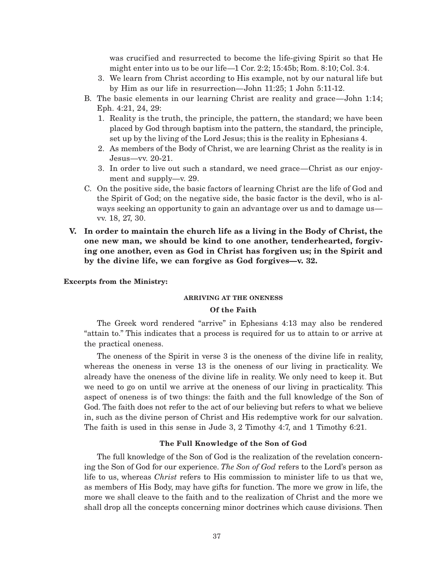was crucified and resurrected to become the life-giving Spirit so that He might enter into us to be our life—1 Cor. 2:2; 15:45b; Rom. 8:10; Col. 3:4.

- 3. We learn from Christ according to His example, not by our natural life but by Him as our life in resurrection—John 11:25; 1 John 5:11-12.
- B. The basic elements in our learning Christ are reality and grace—John 1:14; Eph. 4:21, 24, 29:
	- 1. Reality is the truth, the principle, the pattern, the standard; we have been placed by God through baptism into the pattern, the standard, the principle, set up by the living of the Lord Jesus; this is the reality in Ephesians 4.
	- 2. As members of the Body of Christ, we are learning Christ as the reality is in Jesus—vv. 20-21.
	- 3. In order to live out such a standard, we need grace—Christ as our enjoyment and supply—v. 29.
- C. On the positive side, the basic factors of learning Christ are the life of God and the Spirit of God; on the negative side, the basic factor is the devil, who is always seeking an opportunity to gain an advantage over us and to damage us vv. 18, 27, 30.
- **V. In order to maintain the church life as a living in the Body of Christ, the one new man, we should be kind to one another, tenderhearted, forgiving one another, even as God in Christ has forgiven us; in the Spirit and by the divine life, we can forgive as God forgives—v. 32.**

#### **Excerpts from the Ministry:**

#### **ARRIVING AT THE ONENESS**

#### **Of the Faith**

The Greek word rendered "arrive" in Ephesians 4:13 may also be rendered "attain to." This indicates that a process is required for us to attain to or arrive at the practical oneness.

The oneness of the Spirit in verse 3 is the oneness of the divine life in reality, whereas the oneness in verse 13 is the oneness of our living in practicality. We already have the oneness of the divine life in reality. We only need to keep it. But we need to go on until we arrive at the oneness of our living in practicality. This aspect of oneness is of two things: the faith and the full knowledge of the Son of God. The faith does not refer to the act of our believing but refers to what we believe in, such as the divine person of Christ and His redemptive work for our salvation. The faith is used in this sense in Jude 3, 2 Timothy 4:7, and 1 Timothy 6:21.

### **The Full Knowledge of the Son of God**

The full knowledge of the Son of God is the realization of the revelation concerning the Son of God for our experience. *The Son of God* refers to the Lord's person as life to us, whereas *Christ* refers to His commission to minister life to us that we, as members of His Body, may have gifts for function. The more we grow in life, the more we shall cleave to the faith and to the realization of Christ and the more we shall drop all the concepts concerning minor doctrines which cause divisions. Then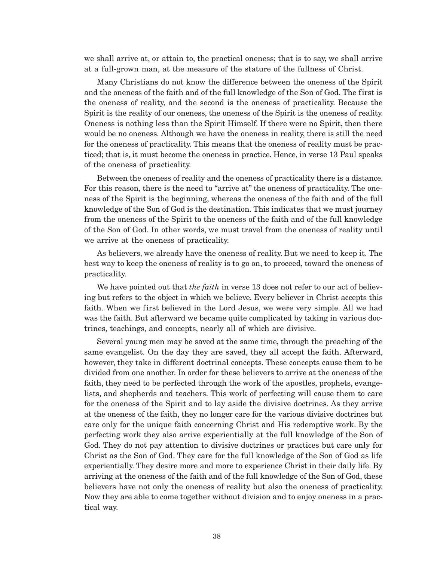we shall arrive at, or attain to, the practical oneness; that is to say, we shall arrive at a full-grown man, at the measure of the stature of the fullness of Christ.

Many Christians do not know the difference between the oneness of the Spirit and the oneness of the faith and of the full knowledge of the Son of God. The first is the oneness of reality, and the second is the oneness of practicality. Because the Spirit is the reality of our oneness, the oneness of the Spirit is the oneness of reality. Oneness is nothing less than the Spirit Himself. If there were no Spirit, then there would be no oneness. Although we have the oneness in reality, there is still the need for the oneness of practicality. This means that the oneness of reality must be practiced; that is, it must become the oneness in practice. Hence, in verse 13 Paul speaks of the oneness of practicality.

Between the oneness of reality and the oneness of practicality there is a distance. For this reason, there is the need to "arrive at" the oneness of practicality. The oneness of the Spirit is the beginning, whereas the oneness of the faith and of the full knowledge of the Son of God is the destination. This indicates that we must journey from the oneness of the Spirit to the oneness of the faith and of the full knowledge of the Son of God. In other words, we must travel from the oneness of reality until we arrive at the oneness of practicality.

As believers, we already have the oneness of reality. But we need to keep it. The best way to keep the oneness of reality is to go on, to proceed, toward the oneness of practicality.

We have pointed out that *the faith* in verse 13 does not refer to our act of believing but refers to the object in which we believe. Every believer in Christ accepts this faith. When we first believed in the Lord Jesus, we were very simple. All we had was the faith. But afterward we became quite complicated by taking in various doctrines, teachings, and concepts, nearly all of which are divisive.

Several young men may be saved at the same time, through the preaching of the same evangelist. On the day they are saved, they all accept the faith. Afterward, however, they take in different doctrinal concepts. These concepts cause them to be divided from one another. In order for these believers to arrive at the oneness of the faith, they need to be perfected through the work of the apostles, prophets, evangelists, and shepherds and teachers. This work of perfecting will cause them to care for the oneness of the Spirit and to lay aside the divisive doctrines. As they arrive at the oneness of the faith, they no longer care for the various divisive doctrines but care only for the unique faith concerning Christ and His redemptive work. By the perfecting work they also arrive experientially at the full knowledge of the Son of God. They do not pay attention to divisive doctrines or practices but care only for Christ as the Son of God. They care for the full knowledge of the Son of God as life experientially. They desire more and more to experience Christ in their daily life. By arriving at the oneness of the faith and of the full knowledge of the Son of God, these believers have not only the oneness of reality but also the oneness of practicality. Now they are able to come together without division and to enjoy oneness in a practical way.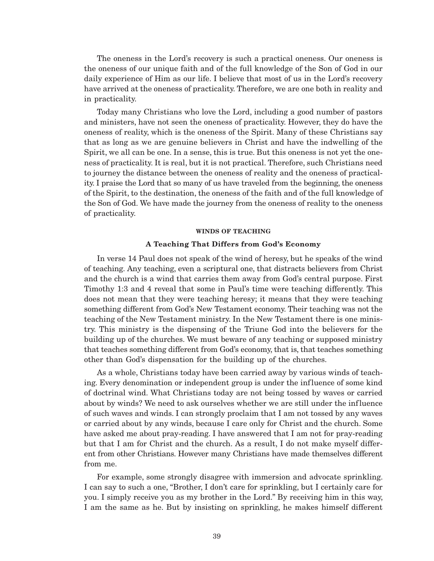The oneness in the Lord's recovery is such a practical oneness. Our oneness is the oneness of our unique faith and of the full knowledge of the Son of God in our daily experience of Him as our life. I believe that most of us in the Lord's recovery have arrived at the oneness of practicality. Therefore, we are one both in reality and in practicality.

Today many Christians who love the Lord, including a good number of pastors and ministers, have not seen the oneness of practicality. However, they do have the oneness of reality, which is the oneness of the Spirit. Many of these Christians say that as long as we are genuine believers in Christ and have the indwelling of the Spirit, we all can be one. In a sense, this is true. But this oneness is not yet the oneness of practicality. It is real, but it is not practical. Therefore, such Christians need to journey the distance between the oneness of reality and the oneness of practicality. I praise the Lord that so many of us have traveled from the beginning, the oneness of the Spirit, to the destination, the oneness of the faith and of the full knowledge of the Son of God. We have made the journey from the oneness of reality to the oneness of practicality.

#### **WINDS OF TEACHING**

#### **A Teaching That Differs from God's Economy**

In verse 14 Paul does not speak of the wind of heresy, but he speaks of the wind of teaching. Any teaching, even a scriptural one, that distracts believers from Christ and the church is a wind that carries them away from God's central purpose. First Timothy 1:3 and 4 reveal that some in Paul's time were teaching differently. This does not mean that they were teaching heresy; it means that they were teaching something different from God's New Testament economy. Their teaching was not the teaching of the New Testament ministry. In the New Testament there is one ministry. This ministry is the dispensing of the Triune God into the believers for the building up of the churches. We must beware of any teaching or supposed ministry that teaches something different from God's economy, that is, that teaches something other than God's dispensation for the building up of the churches.

As a whole, Christians today have been carried away by various winds of teaching. Every denomination or independent group is under the influence of some kind of doctrinal wind. What Christians today are not being tossed by waves or carried about by winds? We need to ask ourselves whether we are still under the influence of such waves and winds. I can strongly proclaim that I am not tossed by any waves or carried about by any winds, because I care only for Christ and the church. Some have asked me about pray-reading. I have answered that I am not for pray-reading but that I am for Christ and the church. As a result, I do not make myself different from other Christians. However many Christians have made themselves different from me.

For example, some strongly disagree with immersion and advocate sprinkling. I can say to such a one, "Brother, I don't care for sprinkling, but I certainly care for you. I simply receive you as my brother in the Lord." By receiving him in this way, I am the same as he. But by insisting on sprinkling, he makes himself different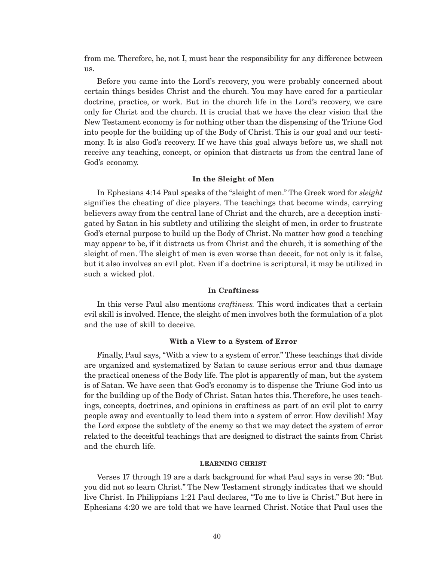from me. Therefore, he, not I, must bear the responsibility for any difference between us.

Before you came into the Lord's recovery, you were probably concerned about certain things besides Christ and the church. You may have cared for a particular doctrine, practice, or work. But in the church life in the Lord's recovery, we care only for Christ and the church. It is crucial that we have the clear vision that the New Testament economy is for nothing other than the dispensing of the Triune God into people for the building up of the Body of Christ. This is our goal and our testimony. It is also God's recovery. If we have this goal always before us, we shall not receive any teaching, concept, or opinion that distracts us from the central lane of God's economy.

#### **In the Sleight of Men**

In Ephesians 4:14 Paul speaks of the "sleight of men." The Greek word for *sleight* signifies the cheating of dice players. The teachings that become winds, carrying believers away from the central lane of Christ and the church, are a deception instigated by Satan in his subtlety and utilizing the sleight of men, in order to frustrate God's eternal purpose to build up the Body of Christ. No matter how good a teaching may appear to be, if it distracts us from Christ and the church, it is something of the sleight of men. The sleight of men is even worse than deceit, for not only is it false, but it also involves an evil plot. Even if a doctrine is scriptural, it may be utilized in such a wicked plot.

### **In Craftiness**

In this verse Paul also mentions *craftiness.* This word indicates that a certain evil skill is involved. Hence, the sleight of men involves both the formulation of a plot and the use of skill to deceive.

#### **With a View to a System of Error**

Finally, Paul says, "With a view to a system of error." These teachings that divide are organized and systematized by Satan to cause serious error and thus damage the practical oneness of the Body life. The plot is apparently of man, but the system is of Satan. We have seen that God's economy is to dispense the Triune God into us for the building up of the Body of Christ. Satan hates this. Therefore, he uses teachings, concepts, doctrines, and opinions in craftiness as part of an evil plot to carry people away and eventually to lead them into a system of error. How devilish! May the Lord expose the subtlety of the enemy so that we may detect the system of error related to the deceitful teachings that are designed to distract the saints from Christ and the church life.

#### **LEARNING CHRIST**

Verses 17 through 19 are a dark background for what Paul says in verse 20: "But you did not so learn Christ." The New Testament strongly indicates that we should live Christ. In Philippians 1:21 Paul declares, "To me to live is Christ." But here in Ephesians 4:20 we are told that we have learned Christ. Notice that Paul uses the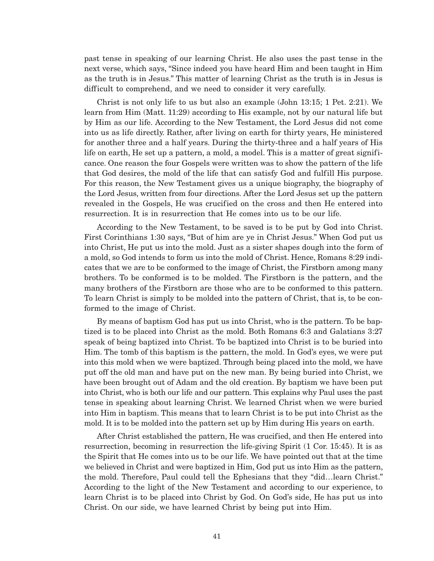past tense in speaking of our learning Christ. He also uses the past tense in the next verse, which says, "Since indeed you have heard Him and been taught in Him as the truth is in Jesus." This matter of learning Christ as the truth is in Jesus is difficult to comprehend, and we need to consider it very carefully.

Christ is not only life to us but also an example (John 13:15; 1 Pet. 2:21). We learn from Him (Matt. 11:29) according to His example, not by our natural life but by Him as our life. According to the New Testament, the Lord Jesus did not come into us as life directly. Rather, after living on earth for thirty years, He ministered for another three and a half years. During the thirty-three and a half years of His life on earth, He set up a pattern, a mold, a model. This is a matter of great significance. One reason the four Gospels were written was to show the pattern of the life that God desires, the mold of the life that can satisfy God and fulfill His purpose. For this reason, the New Testament gives us a unique biography, the biography of the Lord Jesus, written from four directions. After the Lord Jesus set up the pattern revealed in the Gospels, He was crucified on the cross and then He entered into resurrection. It is in resurrection that He comes into us to be our life.

According to the New Testament, to be saved is to be put by God into Christ. First Corinthians 1:30 says, "But of him are ye in Christ Jesus." When God put us into Christ, He put us into the mold. Just as a sister shapes dough into the form of a mold, so God intends to form us into the mold of Christ. Hence, Romans 8:29 indicates that we are to be conformed to the image of Christ, the Firstborn among many brothers. To be conformed is to be molded. The Firstborn is the pattern, and the many brothers of the Firstborn are those who are to be conformed to this pattern. To learn Christ is simply to be molded into the pattern of Christ, that is, to be conformed to the image of Christ.

By means of baptism God has put us into Christ, who is the pattern. To be baptized is to be placed into Christ as the mold. Both Romans 6:3 and Galatians 3:27 speak of being baptized into Christ. To be baptized into Christ is to be buried into Him. The tomb of this baptism is the pattern, the mold. In God's eyes, we were put into this mold when we were baptized. Through being placed into the mold, we have put off the old man and have put on the new man. By being buried into Christ, we have been brought out of Adam and the old creation. By baptism we have been put into Christ, who is both our life and our pattern. This explains why Paul uses the past tense in speaking about learning Christ. We learned Christ when we were buried into Him in baptism. This means that to learn Christ is to be put into Christ as the mold. It is to be molded into the pattern set up by Him during His years on earth.

After Christ established the pattern, He was crucified, and then He entered into resurrection, becoming in resurrection the life-giving Spirit (1 Cor. 15:45). It is as the Spirit that He comes into us to be our life. We have pointed out that at the time we believed in Christ and were baptized in Him, God put us into Him as the pattern, the mold. Therefore, Paul could tell the Ephesians that they "did…learn Christ." According to the light of the New Testament and according to our experience, to learn Christ is to be placed into Christ by God. On God's side, He has put us into Christ. On our side, we have learned Christ by being put into Him.